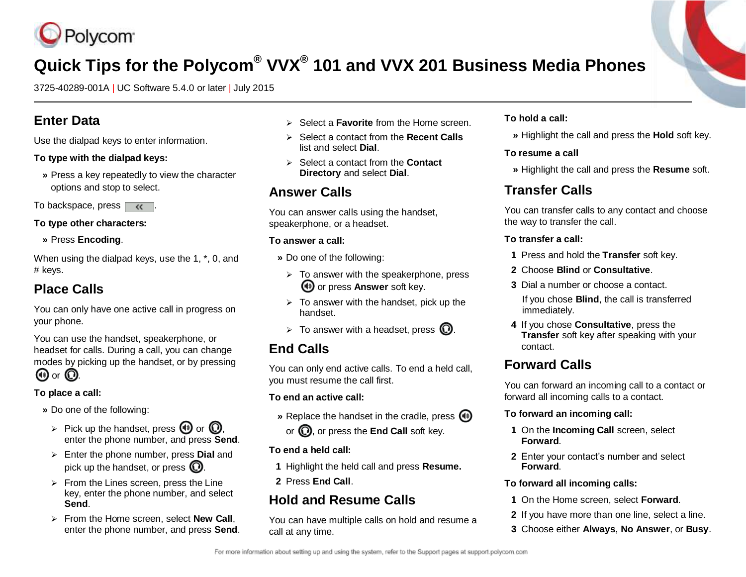

# **Quick Tips for the Polycom® VVX® 101 and VVX 201 Business Media Phones**

3725-40289-001A | UC Software 5.4.0 or later | July 2015

## **Enter Data**

Use the dialpad keys to enter information.

### **To type with the dialpad keys:**

**»** Press a key repeatedly to view the character options and stop to select.

To backspace, press  $\overline{\mathcal{K}}$ .

### **To type other characters:**

**»** Press **Encoding**.

When using the dialpad keys, use the 1, \*, 0, and # keys.

## **Place Calls**

You can only have one active call in progress on your phone.

You can use the handset, speakerphone, or headset for calls. During a call, you can change modes by picking up the handset, or by pressing

## $\circledcirc$  or  $\circledcirc$ .

## **To place a call:**

- **»** Do one of the following:
	- $\triangleright$  Pick up the handset, press (1) or  $\omega$ . enter the phone number, and press **Send**.
	- Enter the phone number, press **Dial** and pick up the handset, or press  $\mathbb O$ .
	- $\triangleright$  From the Lines screen, press the Line key, enter the phone number, and select **Send**.
	- From the Home screen, select **New Call**, enter the phone number, and press **Send**.
- Select a **Favorite** from the Home screen.
- Select a contact from the **Recent Calls** list and select **Dial**.
- **►** Select a contact from the **Contact Directory** and select **Dial**.

## **Answer Calls**

You can answer calls using the handset, speakerphone, or a headset.

### **To answer a call:**

- **»** Do one of the following:
	- $\triangleright$  To answer with the speakerphone, press **(1)** or press **Answer** soft key.
	- $\triangleright$  To answer with the handset, pick up the handset.
- $\triangleright$  To answer with a headset, press  $\mathbb{O}$ .

## **End Calls**

You can only end active calls. To end a held call, you must resume the call first.

## **To end an active call:**

- **»** Replace the handset in the cradle, press  $\textcircled{\tiny{\textcircled{\tiny{\textcirc}}}}$
- or  $\mathbf{Q}$ , or press the **End Call** soft key.

## **To end a held call:**

- **1** Highlight the held call and press **Resume.**
- **2** Press **End Call**.

## **Hold and Resume Calls**

You can have multiple calls on hold and resume a call at any time.

### **To hold a call:**

**»** Highlight the call and press the **Hold** soft key.

## **To resume a call**

**»** Highlight the call and press the **Resume** soft.

## **Transfer Calls**

You can transfer calls to any contact and choose the way to transfer the call.

### **To transfer a call:**

- **1** Press and hold the **Transfer** soft key.
- **2** Choose **Blind** or **Consultative**.
- **3** Dial a number or choose a contact.
- If you chose **Blind**, the call is transferred immediately.
- **4** If you chose **Consultative**, press the **Transfer** soft key after speaking with your contact.

## **Forward Calls**

You can forward an incoming call to a contact or forward all incoming calls to a contact.

## **To forward an incoming call:**

- **1** On the **Incoming Call** screen, select **Forward**.
- **2** Enter your contact's number and select **Forward**.

## **To forward all incoming calls:**

- **1** On the Home screen, select **Forward**.
- **2** If you have more than one line, select a line.
- **3** Choose either **Always**, **No Answer**, or **Busy**.